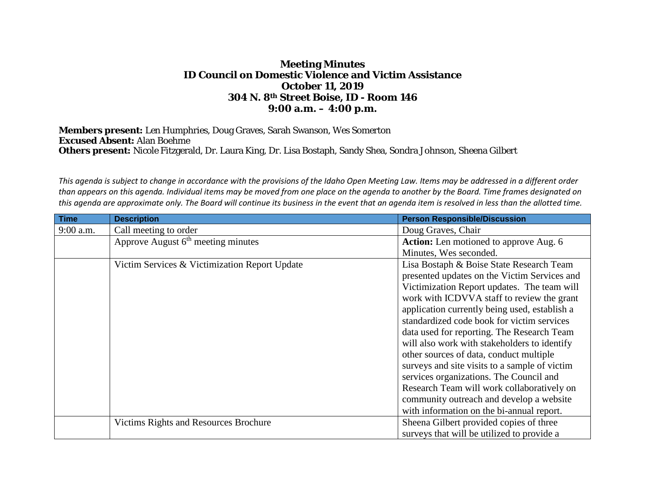## **Meeting Minutes ID Council on Domestic Violence and Victim Assistance October 11, 2019 304 N. 8th Street Boise, ID - Room 146 9:00 a.m. – 4:00 p.m.**

**Members present:** Len Humphries, Doug Graves, Sarah Swanson, Wes Somerton **Excused Absent:** Alan Boehme **Others present:** Nicole Fitzgerald, Dr. Laura King, Dr. Lisa Bostaph, Sandy Shea, Sondra Johnson, Sheena Gilbert

*This agenda is subject to change in accordance with the provisions of the Idaho Open Meeting Law. Items may be addressed in a different order than appears on this agenda. Individual items may be moved from one place on the agenda to another by the Board. Time frames designated on this agenda are approximate only. The Board will continue its business in the event that an agenda item is resolved in less than the allotted time.*

| <b>Time</b> | <b>Description</b>                            | <b>Person Responsible/Discussion</b>          |
|-------------|-----------------------------------------------|-----------------------------------------------|
| 9:00 a.m.   | Call meeting to order                         | Doug Graves, Chair                            |
|             | Approve August $6th$ meeting minutes          | Action: Len motioned to approve Aug. 6        |
|             |                                               | Minutes, Wes seconded.                        |
|             | Victim Services & Victimization Report Update | Lisa Bostaph & Boise State Research Team      |
|             |                                               | presented updates on the Victim Services and  |
|             |                                               | Victimization Report updates. The team will   |
|             |                                               | work with ICDVVA staff to review the grant    |
|             |                                               | application currently being used, establish a |
|             |                                               | standardized code book for victim services    |
|             |                                               | data used for reporting. The Research Team    |
|             |                                               | will also work with stakeholders to identify  |
|             |                                               | other sources of data, conduct multiple       |
|             |                                               | surveys and site visits to a sample of victim |
|             |                                               | services organizations. The Council and       |
|             |                                               | Research Team will work collaboratively on    |
|             |                                               | community outreach and develop a website      |
|             |                                               | with information on the bi-annual report.     |
|             | Victims Rights and Resources Brochure         | Sheena Gilbert provided copies of three       |
|             |                                               | surveys that will be utilized to provide a    |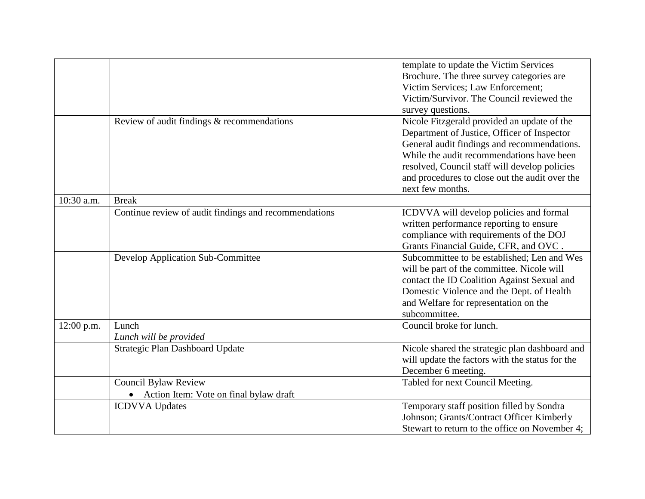|            |                                                       | template to update the Victim Services<br>Brochure. The three survey categories are<br>Victim Services; Law Enforcement;<br>Victim/Survivor. The Council reviewed the<br>survey questions.                                                                                                                    |
|------------|-------------------------------------------------------|---------------------------------------------------------------------------------------------------------------------------------------------------------------------------------------------------------------------------------------------------------------------------------------------------------------|
|            | Review of audit findings & recommendations            | Nicole Fitzgerald provided an update of the<br>Department of Justice, Officer of Inspector<br>General audit findings and recommendations.<br>While the audit recommendations have been<br>resolved, Council staff will develop policies<br>and procedures to close out the audit over the<br>next few months. |
| 10:30 a.m. | <b>Break</b>                                          |                                                                                                                                                                                                                                                                                                               |
|            | Continue review of audit findings and recommendations | ICDVVA will develop policies and formal<br>written performance reporting to ensure<br>compliance with requirements of the DOJ<br>Grants Financial Guide, CFR, and OVC.                                                                                                                                        |
|            | Develop Application Sub-Committee                     | Subcommittee to be established; Len and Wes<br>will be part of the committee. Nicole will<br>contact the ID Coalition Against Sexual and<br>Domestic Violence and the Dept. of Health<br>and Welfare for representation on the<br>subcommittee.                                                               |
| 12:00 p.m. | Lunch<br>Lunch will be provided                       | Council broke for lunch.                                                                                                                                                                                                                                                                                      |
|            | Strategic Plan Dashboard Update                       | Nicole shared the strategic plan dashboard and<br>will update the factors with the status for the<br>December 6 meeting.                                                                                                                                                                                      |
|            | <b>Council Bylaw Review</b>                           | Tabled for next Council Meeting.                                                                                                                                                                                                                                                                              |
|            | • Action Item: Vote on final bylaw draft              |                                                                                                                                                                                                                                                                                                               |
|            | <b>ICDVVA</b> Updates                                 | Temporary staff position filled by Sondra<br>Johnson; Grants/Contract Officer Kimberly<br>Stewart to return to the office on November 4;                                                                                                                                                                      |